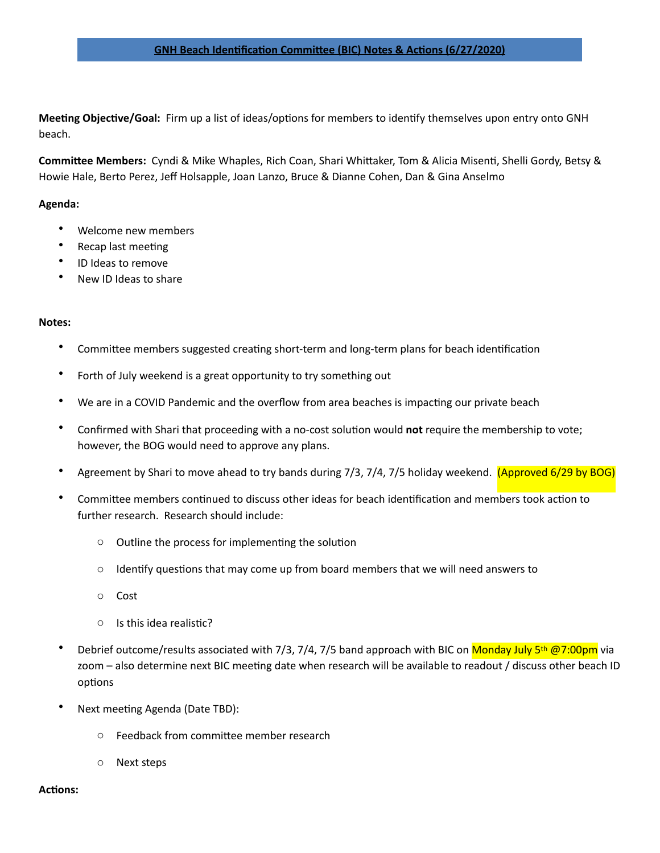## **GNH Beach Identification Committee (BIC) Notes & Actions (6/27/2020)**

**Meeting Objective/Goal:** Firm up a list of ideas/options for members to identify themselves upon entry onto GNH beach. 

**Committee Members:** Cyndi & Mike Whaples, Rich Coan, Shari Whittaker, Tom & Alicia Misenti, Shelli Gordy, Betsy & Howie Hale, Berto Perez, Jeff Holsapple, Joan Lanzo, Bruce & Dianne Cohen, Dan & Gina Anselmo

## **Agenda:**

- Welcome new members
- Recap last meeting
- ID Ideas to remove
- New ID Ideas to share

## **Notes:**

- Committee members suggested creating short-term and long-term plans for beach identification
- Forth of July weekend is a great opportunity to try something out
- We are in a COVID Pandemic and the overflow from area beaches is impacting our private beach
- Confirmed with Shari that proceeding with a no-cost solution would **not** require the membership to vote; however, the BOG would need to approve any plans.
- Agreement by Shari to move ahead to try bands during 7/3, 7/4, 7/5 holiday weekend. (Approved 6/29 by BOG)
- Committee members continued to discuss other ideas for beach identification and members took action to further research. Research should include:
	- $\circ$  Outline the process for implementing the solution
	- $\circ$  Identify questions that may come up from board members that we will need answers to
	- o Cost
	- $\circ$  Is this idea realistic?
- Debrief outcome/results associated with 7/3, 7/4, 7/5 band approach with BIC on Monday July 5th @7:00pm via zoom – also determine next BIC meeting date when research will be available to readout / discuss other beach ID options
- Next meeting Agenda (Date TBD):
	- $\circ$  Feedback from committee member research
	- o Next steps

## Actions: